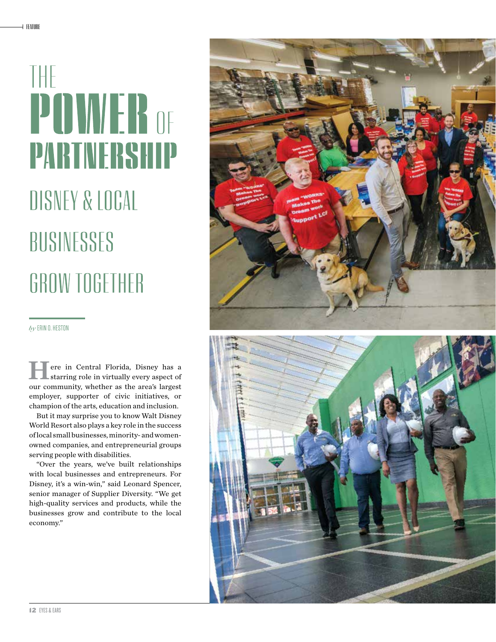## THE **POWER** OF **PARTNERSHIP** DISNEY & LOCAL

## BUSINESSES GROW TOGETHER

*by* ERIN O. HESTON

ere in Central Florida, Disney has a starring role in virtually every aspect of our community, whether as the area's largest employer, supporter of civic initiatives, or champion of the arts, education and inclusion.

But it may surprise you to know Walt Disney World Resort also plays a key role in the success of local small businesses, minority- and womenowned companies, and entrepreneurial groups serving people with disabilities.

"Over the years, we've built relationships with local businesses and entrepreneurs. For Disney, it's a win-win," said Leonard Spencer, senior manager of Supplier Diversity. "We get high-quality services and products, while the businesses grow and contribute to the local economy."



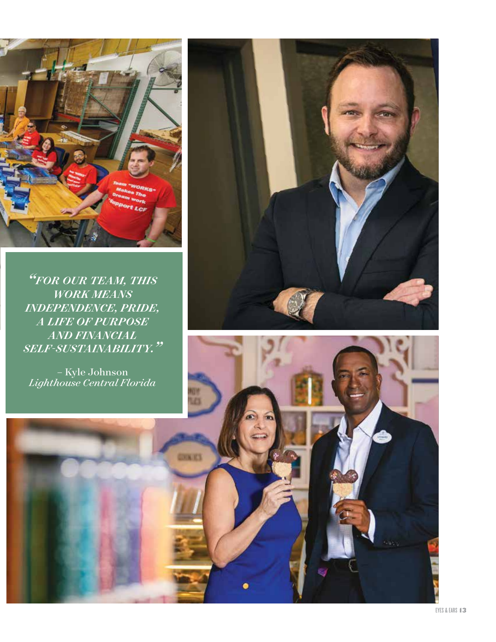

*"FOR OUR TEAM, THIS WORK MEANS INDEPENDENCE, PRIDE, A LIFE OF PURPOSE AND FINANCIAL SELF-SUSTAINABILITY."*

*–* Kyle Johnson *Lighthouse Central Florida*